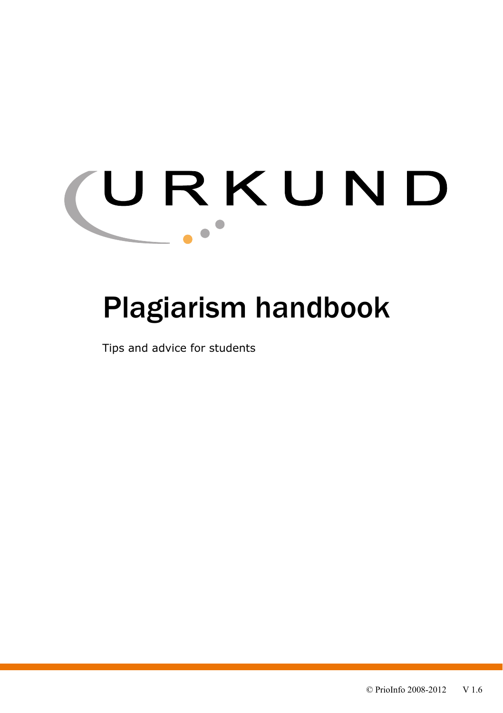# URKUND  $\sim$

# Plagiarism handbook

Tips and advice for students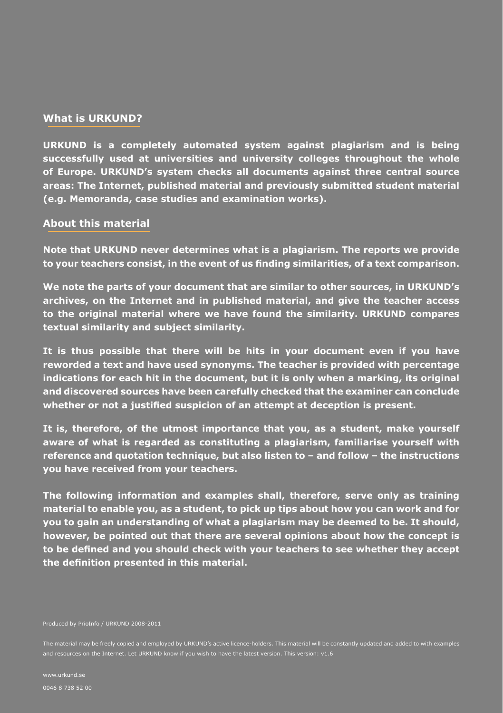#### **What is URKUND?**

**URKUND is a completely automated system against plagiarism and is being successfully used at universities and university colleges throughout the whole of Europe. URKUND's system checks all documents against three central source areas: The Internet, published material and previously submitted student material (e.g. Memoranda, case studies and examination works).**

## **About this material**

**Note that URKUND never determines what is a plagiarism. The reports we provide to your teachers consist, in the event of us finding similarities, of a text comparison.** 

**We note the parts of your document that are similar to other sources, in URKUND's archives, on the Internet and in published material, and give the teacher access to the original material where we have found the similarity. URKUND compares textual similarity and subject similarity.** 

**It is thus possible that there will be hits in your document even if you have reworded a text and have used synonyms. The teacher is provided with percentage indications for each hit in the document, but it is only when a marking, its original and discovered sources have been carefully checked that the examiner can conclude whether or not a justified suspicion of an attempt at deception is present.**

**It is, therefore, of the utmost importance that you, as a student, make yourself aware of what is regarded as constituting a plagiarism, familiarise yourself with reference and quotation technique, but also listen to – and follow – the instructions you have received from your teachers.**

**The following information and examples shall, therefore, serve only as training material to enable you, as a student, to pick up tips about how you can work and for you to gain an understanding of what a plagiarism may be deemed to be. It should, however, be pointed out that there are several opinions about how the concept is to be defined and you should check with your teachers to see whether they accept the definition presented in this material.**

The material may be freely copied and employed by URKUND's active licence-holders. This material will be constantly updated and added to with examples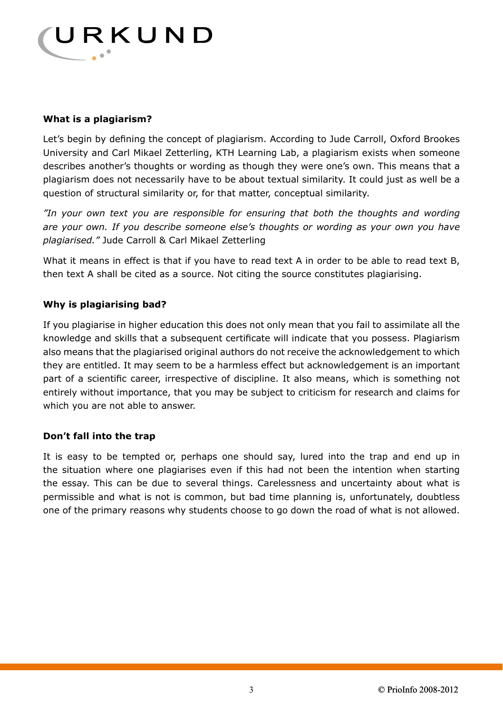

# **What is a plagiarism?**

Let's begin by defining the concept of plagiarism. According to Jude Carroll, Oxford Brookes University and Carl Mikael Zetterling, KTH Learning Lab, a plagiarism exists when someone describes another's thoughts or wording as though they were one's own. This means that a plagiarism does not necessarily have to be about textual similarity. It could just as well be a question of structural similarity or, for that matter, conceptual similarity.

*"In your own text you are responsible for ensuring that both the thoughts and wording are your own. If you describe someone else's thoughts or wording as your own you have plagiarised."* Jude Carroll & Carl Mikael Zetterling

What it means in effect is that if you have to read text A in order to be able to read text B, then text A shall be cited as a source. Not citing the source constitutes plagiarising.

# **Why is plagiarising bad?**

If you plagiarise in higher education this does not only mean that you fail to assimilate all the knowledge and skills that a subsequent certificate will indicate that you possess. Plagiarism also means that the plagiarised original authors do not receive the acknowledgement to which they are entitled. It may seem to be a harmless effect but acknowledgement is an important part of a scientific career, irrespective of discipline. It also means, which is something not entirely without importance, that you may be subject to criticism for research and claims for which you are not able to answer.

# **Don't fall into the trap**

It is easy to be tempted or, perhaps one should say, lured into the trap and end up in the situation where one plagiarises even if this had not been the intention when starting the essay. This can be due to several things. Carelessness and uncertainty about what is permissible and what is not is common, but bad time planning is, unfortunately, doubtless one of the primary reasons why students choose to go down the road of what is not allowed.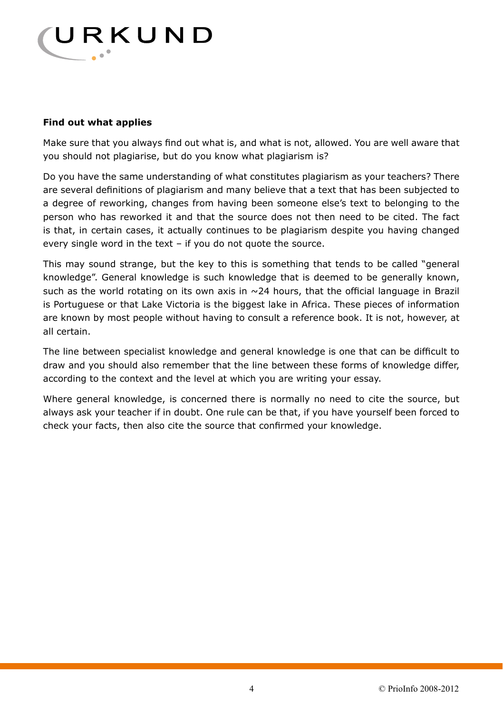

# **Find out what applies**

Make sure that you always find out what is, and what is not, allowed. You are well aware that you should not plagiarise, but do you know what plagiarism is?

Do you have the same understanding of what constitutes plagiarism as your teachers? There are several definitions of plagiarism and many believe that a text that has been subjected to a degree of reworking, changes from having been someone else's text to belonging to the person who has reworked it and that the source does not then need to be cited. The fact is that, in certain cases, it actually continues to be plagiarism despite you having changed every single word in the text – if you do not quote the source.

This may sound strange, but the key to this is something that tends to be called "general knowledge". General knowledge is such knowledge that is deemed to be generally known, such as the world rotating on its own axis in  $\sim$  24 hours, that the official language in Brazil is Portuguese or that Lake Victoria is the biggest lake in Africa. These pieces of information are known by most people without having to consult a reference book. It is not, however, at all certain.

The line between specialist knowledge and general knowledge is one that can be difficult to draw and you should also remember that the line between these forms of knowledge differ, according to the context and the level at which you are writing your essay.

Where general knowledge, is concerned there is normally no need to cite the source, but always ask your teacher if in doubt. One rule can be that, if you have yourself been forced to check your facts, then also cite the source that confirmed your knowledge.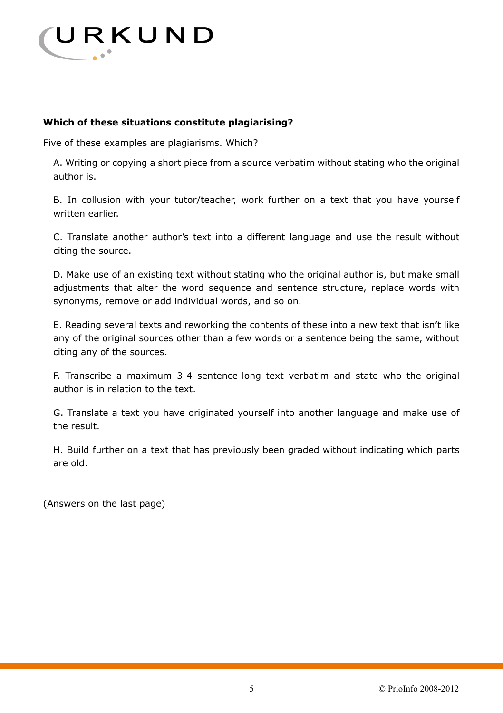

# **Which of these situations constitute plagiarising?**

Five of these examples are plagiarisms. Which?

A. Writing or copying a short piece from a source verbatim without stating who the original author is.

B. In collusion with your tutor/teacher, work further on a text that you have yourself written earlier.

C. Translate another author's text into a different language and use the result without citing the source.

D. Make use of an existing text without stating who the original author is, but make small adjustments that alter the word sequence and sentence structure, replace words with synonyms, remove or add individual words, and so on.

E. Reading several texts and reworking the contents of these into a new text that isn't like any of the original sources other than a few words or a sentence being the same, without citing any of the sources.

F. Transcribe a maximum 3-4 sentence-long text verbatim and state who the original author is in relation to the text.

G. Translate a text you have originated yourself into another language and make use of the result.

H. Build further on a text that has previously been graded without indicating which parts are old.

(Answers on the last page)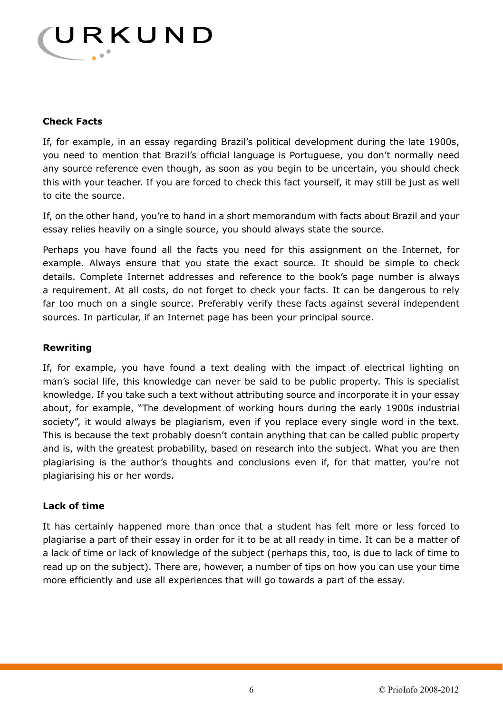

# **Check Facts**

If, for example, in an essay regarding Brazil's political development during the late 1900s, you need to mention that Brazil's official language is Portuguese, you don't normally need any source reference even though, as soon as you begin to be uncertain, you should check this with your teacher. If you are forced to check this fact yourself, it may still be just as well to cite the source.

If, on the other hand, you're to hand in a short memorandum with facts about Brazil and your essay relies heavily on a single source, you should always state the source.

Perhaps you have found all the facts you need for this assignment on the Internet, for example. Always ensure that you state the exact source. It should be simple to check details. Complete Internet addresses and reference to the book's page number is always a requirement. At all costs, do not forget to check your facts. It can be dangerous to rely far too much on a single source. Preferably verify these facts against several independent sources. In particular, if an Internet page has been your principal source.

# **Rewriting**

If, for example, you have found a text dealing with the impact of electrical lighting on man's social life, this knowledge can never be said to be public property. This is specialist knowledge. If you take such a text without attributing source and incorporate it in your essay about, for example, "The development of working hours during the early 1900s industrial society", it would always be plagiarism, even if you replace every single word in the text. This is because the text probably doesn't contain anything that can be called public property and is, with the greatest probability, based on research into the subject. What you are then plagiarising is the author's thoughts and conclusions even if, for that matter, you're not plagiarising his or her words.

# **Lack of time**

It has certainly happened more than once that a student has felt more or less forced to plagiarise a part of their essay in order for it to be at all ready in time. It can be a matter of a lack of time or lack of knowledge of the subject (perhaps this, too, is due to lack of time to read up on the subject). There are, however, a number of tips on how you can use your time more efficiently and use all experiences that will go towards a part of the essay.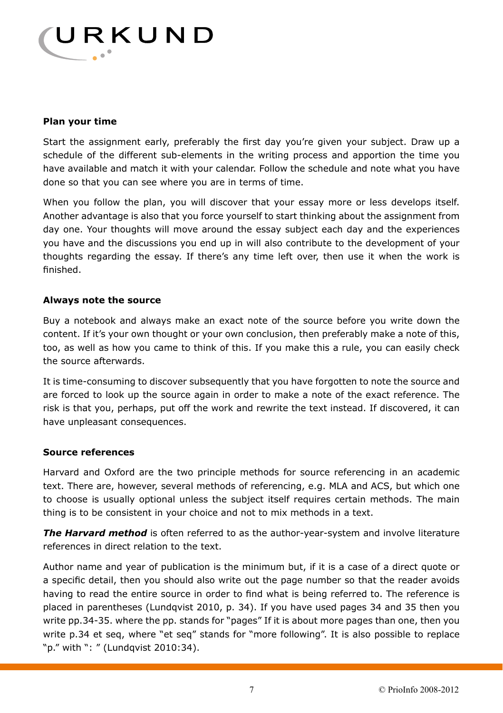

# **Plan your time**

Start the assignment early, preferably the first day you're given your subject. Draw up a schedule of the different sub-elements in the writing process and apportion the time you have available and match it with your calendar. Follow the schedule and note what you have done so that you can see where you are in terms of time.

When you follow the plan, you will discover that your essay more or less develops itself. Another advantage is also that you force yourself to start thinking about the assignment from day one. Your thoughts will move around the essay subject each day and the experiences you have and the discussions you end up in will also contribute to the development of your thoughts regarding the essay. If there's any time left over, then use it when the work is finished.

## **Always note the source**

Buy a notebook and always make an exact note of the source before you write down the content. If it's your own thought or your own conclusion, then preferably make a note of this, too, as well as how you came to think of this. If you make this a rule, you can easily check the source afterwards.

It is time-consuming to discover subsequently that you have forgotten to note the source and are forced to look up the source again in order to make a note of the exact reference. The risk is that you, perhaps, put off the work and rewrite the text instead. If discovered, it can have unpleasant consequences.

#### **Source references**

Harvard and Oxford are the two principle methods for source referencing in an academic text. There are, however, several methods of referencing, e.g. MLA and ACS, but which one to choose is usually optional unless the subject itself requires certain methods. The main thing is to be consistent in your choice and not to mix methods in a text.

*The Harvard method* is often referred to as the author-year-system and involve literature references in direct relation to the text.

Author name and year of publication is the minimum but, if it is a case of a direct quote or a specific detail, then you should also write out the page number so that the reader avoids having to read the entire source in order to find what is being referred to. The reference is placed in parentheses (Lundqvist 2010, p. 34). If you have used pages 34 and 35 then you write pp.34-35. where the pp. stands for "pages" If it is about more pages than one, then you write p.34 et seq, where "et seq" stands for "more following". It is also possible to replace "p." with ": " (Lundqvist 2010:34).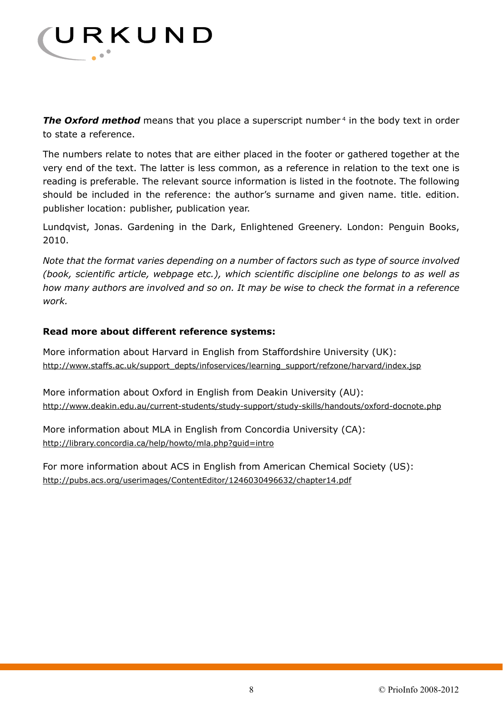

**The Oxford method** means that you place a superscript number<sup>4</sup> in the body text in order to state a reference.

The numbers relate to notes that are either placed in the footer or gathered together at the very end of the text. The latter is less common, as a reference in relation to the text one is reading is preferable. The relevant source information is listed in the footnote. The following should be included in the reference: the author's surname and given name. title. edition. publisher location: publisher, publication year.

Lundqvist, Jonas. Gardening in the Dark, Enlightened Greenery. London: Penguin Books, 2010.

*Note that the format varies depending on a number of factors such as type of source involved (book, scientific article, webpage etc.), which scientific discipline one belongs to as well as how many authors are involved and so on. It may be wise to check the format in a reference work.* 

## **Read more about different reference systems:**

More information about Harvard in English from Staffordshire University (UK): http://www.staffs.ac.uk/support\_depts/infoservices/learning\_support/refzone/harvard/index.jsp

More information about Oxford in English from Deakin University (AU): http://www.deakin.edu.au/current-students/study-support/study-skills/handouts/oxford-docnote.php

More information about MLA in English from Concordia University (CA): http://library.concordia.ca/help/howto/mla.php?guid=intro

For more information about ACS in English from American Chemical Society (US): http://pubs.acs.org/userimages/ContentEditor/1246030496632/chapter14.pdf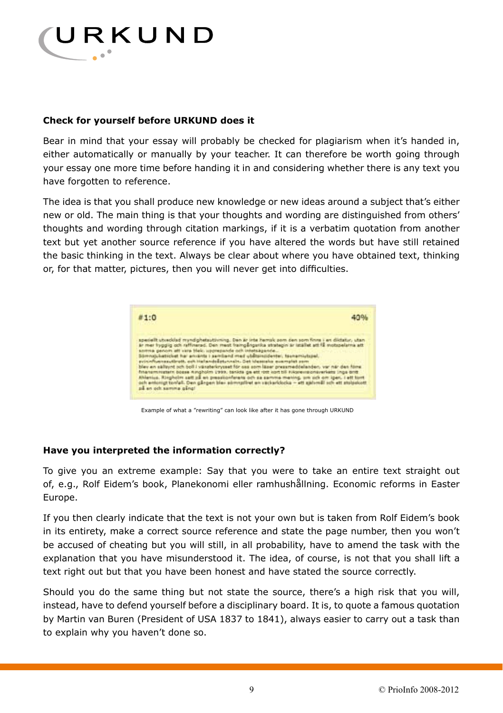

# **Check for yourself before URKUND does it**

Bear in mind that your essay will probably be checked for plagiarism when it's handed in, either automatically or manually by your teacher. It can therefore be worth going through your essay one more time before handing it in and considering whether there is any text you have forgotten to reference.

The idea is that you shall produce new knowledge or new ideas around a subject that's either new or old. The main thing is that your thoughts and wording are distinguished from others' thoughts and wording through citation markings, if it is a verbatim quotation from another text but yet another source reference if you have altered the words but have still retained the basic thinking in the text. Always be clear about where you have obtained text, thinking or, for that matter, pictures, then you will never get into difficulties.



Example of what a "rewriting" can look like after it has gone through URKUND

#### **Have you interpreted the information correctly?**

To give you an extreme example: Say that you were to take an entire text straight out of, e.g., Rolf Eidem's book, Planekonomi eller ramhushållning. Economic reforms in Easter Europe.

If you then clearly indicate that the text is not your own but is taken from Rolf Eidem's book in its entirety, make a correct source reference and state the page number, then you won't be accused of cheating but you will still, in all probability, have to amend the task with the explanation that you have misunderstood it. The idea, of course, is not that you shall lift a text right out but that you have been honest and have stated the source correctly.

Should you do the same thing but not state the source, there's a high risk that you will, instead, have to defend yourself before a disciplinary board. It is, to quote a famous quotation by Martin van Buren (President of USA 1837 to 1841), always easier to carry out a task than to explain why you haven't done so.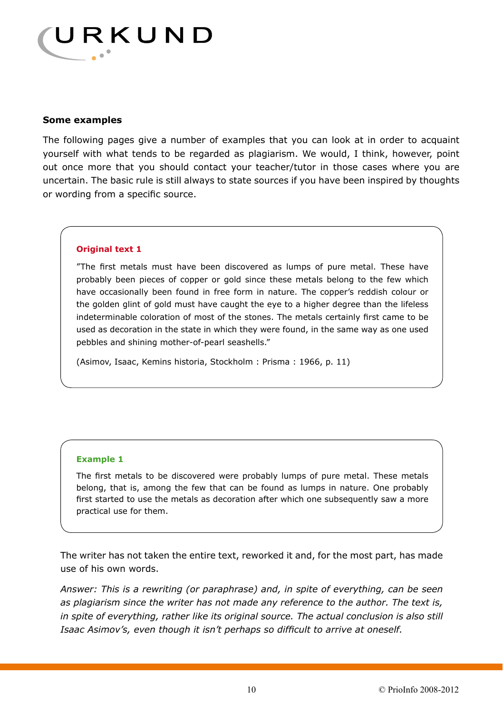

#### **Some examples**

The following pages give a number of examples that you can look at in order to acquaint yourself with what tends to be regarded as plagiarism. We would, I think, however, point out once more that you should contact your teacher/tutor in those cases where you are uncertain. The basic rule is still always to state sources if you have been inspired by thoughts or wording from a specific source.

#### **Original text 1**

"The first metals must have been discovered as lumps of pure metal. These have probably been pieces of copper or gold since these metals belong to the few which have occasionally been found in free form in nature. The copper's reddish colour or the golden glint of gold must have caught the eye to a higher degree than the lifeless indeterminable coloration of most of the stones. The metals certainly first came to be used as decoration in the state in which they were found, in the same way as one used pebbles and shining mother-of-pearl seashells."

(Asimov, Isaac, Kemins historia, Stockholm : Prisma : 1966, p. 11)

#### **Example 1**

The first metals to be discovered were probably lumps of pure metal. These metals belong, that is, among the few that can be found as lumps in nature. One probably first started to use the metals as decoration after which one subsequently saw a more practical use for them.

The writer has not taken the entire text, reworked it and, for the most part, has made use of his own words.

*Answer: This is a rewriting (or paraphrase) and, in spite of everything, can be seen as plagiarism since the writer has not made any reference to the author. The text is, in spite of everything, rather like its original source. The actual conclusion is also still Isaac Asimov's, even though it isn't perhaps so difficult to arrive at oneself.*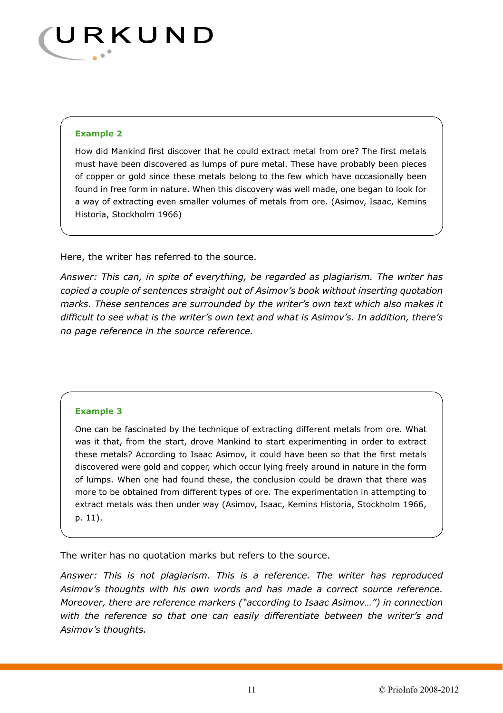

#### **Example 2**

How did Mankind first discover that he could extract metal from ore? The first metals must have been discovered as lumps of pure metal. These have probably been pieces of copper or gold since these metals belong to the few which have occasionally been found in free form in nature. When this discovery was well made, one began to look for a way of extracting even smaller volumes of metals from ore. (Asimov, Isaac, Kemins Historia, Stockholm 1966)

Here, the writer has referred to the source.

*Answer: This can, in spite of everything, be regarded as plagiarism. The writer has copied a couple of sentences straight out of Asimov's book without inserting quotation marks. These sentences are surrounded by the writer's own text which also makes it difficult to see what is the writer's own text and what is Asimov's. In addition, there's no page reference in the source reference.*

#### **Example 3**

One can be fascinated by the technique of extracting different metals from ore. What was it that, from the start, drove Mankind to start experimenting in order to extract these metals? According to Isaac Asimov, it could have been so that the first metals discovered were gold and copper, which occur lying freely around in nature in the form of lumps. When one had found these, the conclusion could be drawn that there was more to be obtained from different types of ore. The experimentation in attempting to extract metals was then under way (Asimov, Isaac, Kemins Historia, Stockholm 1966, p. 11).

The writer has no quotation marks but refers to the source.

*Answer: This is not plagiarism. This is a reference. The writer has reproduced Asimov's thoughts with his own words and has made a correct source reference. Moreover, there are reference markers ("according to Isaac Asimov…") in connection with the reference so that one can easily differentiate between the writer's and Asimov's thoughts.*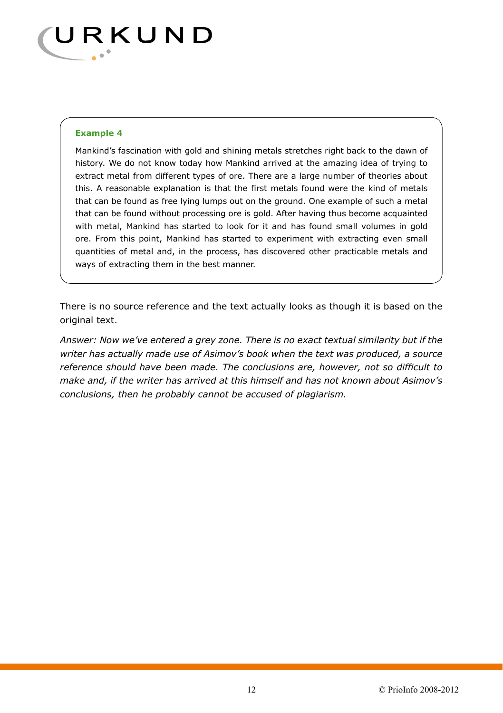

#### **Example 4**

Mankind's fascination with gold and shining metals stretches right back to the dawn of history. We do not know today how Mankind arrived at the amazing idea of trying to extract metal from different types of ore. There are a large number of theories about this. A reasonable explanation is that the first metals found were the kind of metals that can be found as free lying lumps out on the ground. One example of such a metal that can be found without processing ore is gold. After having thus become acquainted with metal, Mankind has started to look for it and has found small volumes in gold ore. From this point, Mankind has started to experiment with extracting even small quantities of metal and, in the process, has discovered other practicable metals and ways of extracting them in the best manner.

There is no source reference and the text actually looks as though it is based on the original text.

*Answer: Now we've entered a grey zone. There is no exact textual similarity but if the writer has actually made use of Asimov's book when the text was produced, a source reference should have been made. The conclusions are, however, not so difficult to make and, if the writer has arrived at this himself and has not known about Asimov's conclusions, then he probably cannot be accused of plagiarism.*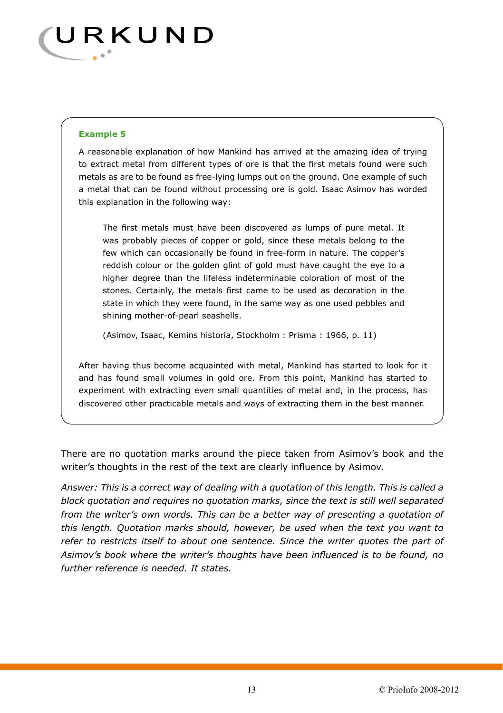

#### **Example 5**

A reasonable explanation of how Mankind has arrived at the amazing idea of trying to extract metal from different types of ore is that the first metals found were such metals as are to be found as free-lying lumps out on the ground. One example of such a metal that can be found without processing ore is gold. Isaac Asimov has worded this explanation in the following way:

The first metals must have been discovered as lumps of pure metal. It was probably pieces of copper or gold, since these metals belong to the few which can occasionally be found in free-form in nature. The copper's reddish colour or the golden glint of gold must have caught the eye to a higher degree than the lifeless indeterminable coloration of most of the stones. Certainly, the metals first came to be used as decoration in the state in which they were found, in the same way as one used pebbles and shining mother-of-pearl seashells.

(Asimov, Isaac, Kemins historia, Stockholm : Prisma : 1966, p. 11)

After having thus become acquainted with metal, Mankind has started to look for it and has found small volumes in gold ore. From this point, Mankind has started to experiment with extracting even small quantities of metal and, in the process, has discovered other practicable metals and ways of extracting them in the best manner.

There are no quotation marks around the piece taken from Asimov's book and the writer's thoughts in the rest of the text are clearly influence by Asimov.

*Answer: This is a correct way of dealing with a quotation of this length. This is called a block quotation and requires no quotation marks, since the text is still well separated from the writer's own words. This can be a better way of presenting a quotation of this length. Quotation marks should, however, be used when the text you want to*  refer to restricts itself to about one sentence. Since the writer quotes the part of *Asimov's book where the writer's thoughts have been influenced is to be found, no further reference is needed. It states.*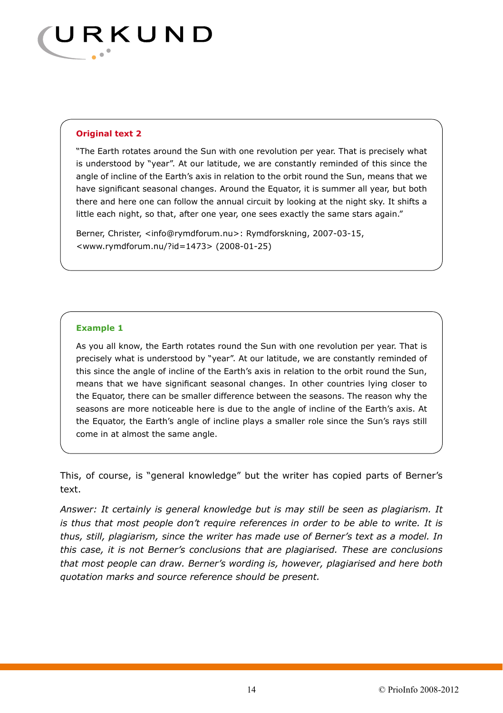

#### **Original text 2**

"The Earth rotates around the Sun with one revolution per year. That is precisely what is understood by "year". At our latitude, we are constantly reminded of this since the angle of incline of the Earth's axis in relation to the orbit round the Sun, means that we have significant seasonal changes. Around the Equator, it is summer all year, but both there and here one can follow the annual circuit by looking at the night sky. It shifts a little each night, so that, after one year, one sees exactly the same stars again."

Berner, Christer, <info@rymdforum.nu>: Rymdforskning, 2007-03-15, <www.rymdforum.nu/?id=1473> (2008-01-25)

#### **Example 1**

As you all know, the Earth rotates round the Sun with one revolution per year. That is precisely what is understood by "year". At our latitude, we are constantly reminded of this since the angle of incline of the Earth's axis in relation to the orbit round the Sun, means that we have significant seasonal changes. In other countries lying closer to the Equator, there can be smaller difference between the seasons. The reason why the seasons are more noticeable here is due to the angle of incline of the Earth's axis. At the Equator, the Earth's angle of incline plays a smaller role since the Sun's rays still come in at almost the same angle.

This, of course, is "general knowledge" but the writer has copied parts of Berner's text.

*Answer: It certainly is general knowledge but is may still be seen as plagiarism. It is thus that most people don't require references in order to be able to write. It is thus, still, plagiarism, since the writer has made use of Berner's text as a model. In this case, it is not Berner's conclusions that are plagiarised. These are conclusions that most people can draw. Berner's wording is, however, plagiarised and here both quotation marks and source reference should be present.*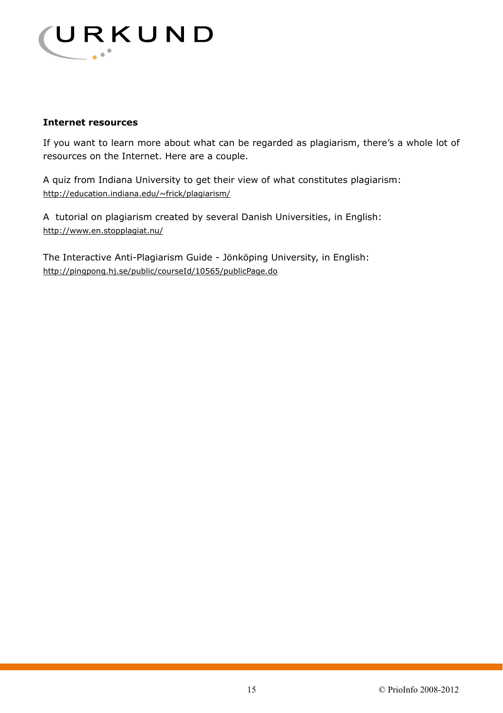

## **Internet resources**

If you want to learn more about what can be regarded as plagiarism, there's a whole lot of resources on the Internet. Here are a couple.

A quiz from Indiana University to get their view of what constitutes plagiarism: http://education.indiana.edu/~frick/plagiarism/

A tutorial on plagiarism created by several Danish Universities, in English: http://www.en.stopplagiat.nu/

The Interactive Anti-Plagiarism Guide - Jönköping University, in English: http://pingpong.hj.se/public/courseId/10565/publicPage.do